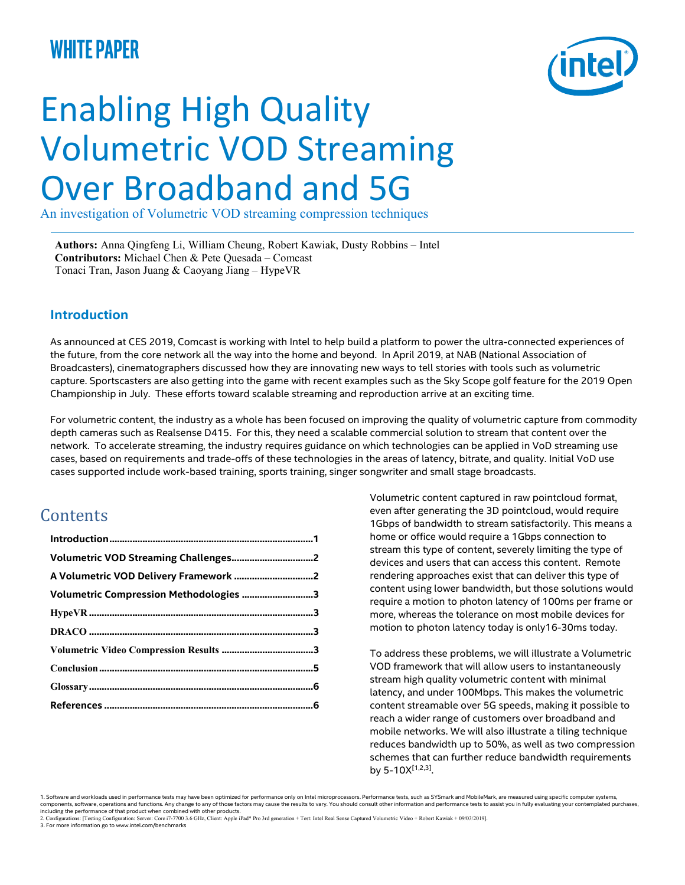## white paper



# Enabling High Quality Volumetric VOD Streaming Over Broadband and 5G

An investigation of Volumetric VOD streaming compression techniques

Authors: Anna Qingfeng Li, William Cheung, Robert Kawiak, Dusty Robbins – Intel Contributors: Michael Chen & Pete Quesada – Comcast Tonaci Tran, Jason Juang & Caoyang Jiang – HypeVR

#### Introduction

As announced at CES 2019, Comcast is working with Intel to help build a platform to power the ultra-connected experiences of the future, from the core network all the way into the home and beyond. In April 2019, at NAB (National Association of Broadcasters), cinematographers discussed how they are innovating new ways to tell stories with tools such as volumetric capture. Sportscasters are also getting into the game with recent examples such as the Sky Scope golf feature for the 2019 Open Championship in July. These efforts toward scalable streaming and reproduction arrive at an exciting time.

For volumetric content, the industry as a whole has been focused on improving the quality of volumetric capture from commodity depth cameras such as Realsense D415. For this, they need a scalable commercial solution to stream that content over the network. To accelerate streaming, the industry requires guidance on which technologies can be applied in VoD streaming use cases, based on requirements and trade-offs of these technologies in the areas of latency, bitrate, and quality. Initial VoD use cases supported include work-based training, sports training, singer songwriter and small stage broadcasts.

### **Contents**

| Volumetric Compression Methodologies 3 |
|----------------------------------------|
|                                        |
|                                        |
|                                        |
|                                        |
|                                        |
|                                        |

Volumetric content captured in raw pointcloud format, even after generating the 3D pointcloud, would require 1Gbps of bandwidth to stream satisfactorily. This means a home or office would require a 1Gbps connection to stream this type of content, severely limiting the type of devices and users that can access this content. Remote rendering approaches exist that can deliver this type of content using lower bandwidth, but those solutions would require a motion to photon latency of 100ms per frame or more, whereas the tolerance on most mobile devices for motion to photon latency today is only16-30ms today.

To address these problems, we will illustrate a Volumetric VOD framework that will allow users to instantaneously stream high quality volumetric content with minimal latency, and under 100Mbps. This makes the volumetric content streamable over 5G speeds, making it possible to reach a wider range of customers over broadband and mobile networks. We will also illustrate a tiling technique reduces bandwidth up to 50%, as well as two compression schemes that can further reduce bandwidth requirements by 5-10X[1,2,3] .

1. Software and workloads used in performance tests may have been optimized for performance only on Intel microprocessors. Performance tests, such as SYSmark and MobileMark, are measured using specific computer systems, components, software, operations and functions. Any change to any of those factors may cause the results to vary. You should consult other information and performance tests to assist you in fully evaluating your contemplat

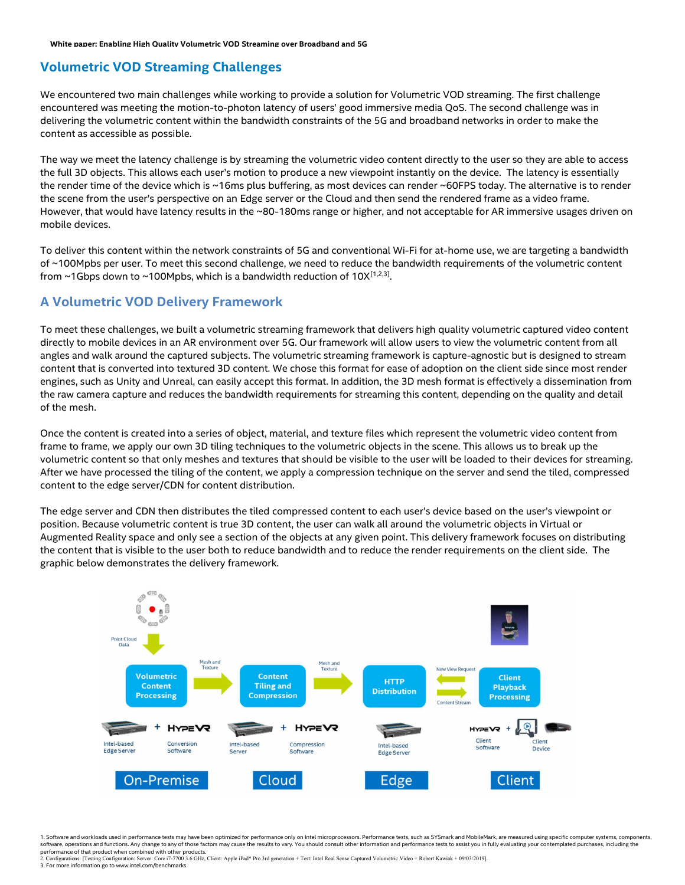#### Volumetric VOD Streaming Challenges

We encountered two main challenges while working to provide a solution for Volumetric VOD streaming. The first challenge encountered was meeting the motion-to-photon latency of users' good immersive media QoS. The second challenge was in delivering the volumetric content within the bandwidth constraints of the 5G and broadband networks in order to make the content as accessible as possible.

The way we meet the latency challenge is by streaming the volumetric video content directly to the user so they are able to access the full 3D objects. This allows each user's motion to produce a new viewpoint instantly on the device. The latency is essentially the render time of the device which is ~16ms plus buffering, as most devices can render ~60FPS today. The alternative is to render the scene from the user's perspective on an Edge server or the Cloud and then send the rendered frame as a video frame. However, that would have latency results in the ~80-180ms range or higher, and not acceptable for AR immersive usages driven on mobile devices.

To deliver this content within the network constraints of 5G and conventional Wi-Fi for at-home use, we are targeting a bandwidth of ~100Mpbs per user. To meet this second challenge, we need to reduce the bandwidth requirements of the volumetric content from ~1Gbps down to ~100Mpbs, which is a bandwidth reduction of 10X $^{[1,2,3]}$ .

#### A Volumetric VOD Delivery Framework

To meet these challenges, we built a volumetric streaming framework that delivers high quality volumetric captured video content directly to mobile devices in an AR environment over 5G. Our framework will allow users to view the volumetric content from all angles and walk around the captured subjects. The volumetric streaming framework is capture-agnostic but is designed to stream content that is converted into textured 3D content. We chose this format for ease of adoption on the client side since most render engines, such as Unity and Unreal, can easily accept this format. In addition, the 3D mesh format is effectively a dissemination from the raw camera capture and reduces the bandwidth requirements for streaming this content, depending on the quality and detail of the mesh.

Once the content is created into a series of object, material, and texture files which represent the volumetric video content from frame to frame, we apply our own 3D tiling techniques to the volumetric objects in the scene. This allows us to break up the volumetric content so that only meshes and textures that should be visible to the user will be loaded to their devices for streaming. After we have processed the tiling of the content, we apply a compression technique on the server and send the tiled, compressed content to the edge server/CDN for content distribution.

The edge server and CDN then distributes the tiled compressed content to each user's device based on the user's viewpoint or position. Because volumetric content is true 3D content, the user can walk all around the volumetric objects in Virtual or Augmented Reality space and only see a section of the objects at any given point. This delivery framework focuses on distributing the content that is visible to the user both to reduce bandwidth and to reduce the render requirements on the client side. The graphic below demonstrates the delivery framework.



1. Software and workloads used in performance tests may have been optimized for performance only on Intel microprocessors. Performance tests, such as SYSmark and MobileMark, are measured using specific computer systems, co software, operations and functions. Any change to any of those factors may cause the results to vary. You should consult other information and performance tests to assist you in fully evaluating your contemplated purchases

performance of that product when combined with other products.<br>2. Configurations: [Testing Configuration: Server: Core i7-7700 3.6 GHz, Client: Apple iPad\* Pro 3rd generation + Test: Intel Real Sense Captured Volumetric Vi 3. For more information go to www.intel.com/benchmarks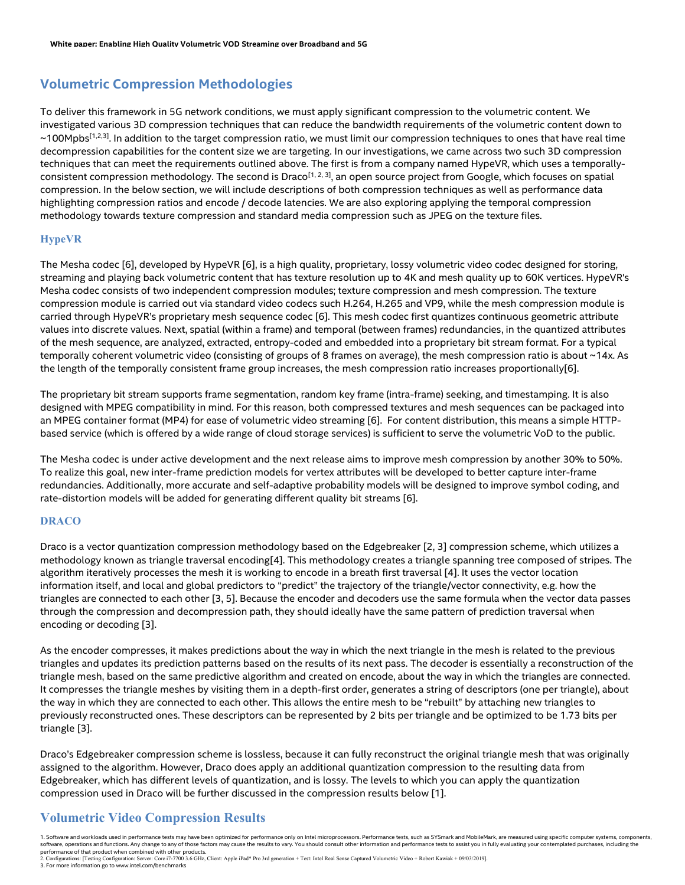#### Volumetric Compression Methodologies

To deliver this framework in 5G network conditions, we must apply significant compression to the volumetric content. We investigated various 3D compression techniques that can reduce the bandwidth requirements of the volumetric content down to  $\sim$ 100Mpbs<sup>[1,2,3]</sup>. In addition to the target compression ratio, we must limit our compression techniques to ones that have real time decompression capabilities for the content size we are targeting. In our investigations, we came across two such 3D compression techniques that can meet the requirements outlined above. The first is from a company named HypeVR, which uses a temporallyconsistent compression methodology. The second is Draco<sup>[1, 2, 3]</sup>, an open source project from Google, which focuses on spatial compression. In the below section, we will include descriptions of both compression techniques as well as performance data highlighting compression ratios and encode / decode latencies. We are also exploring applying the temporal compression methodology towards texture compression and standard media compression such as JPEG on the texture files.

#### HypeVR

The Mesha codec [6], developed by HypeVR [6], is a high quality, proprietary, lossy volumetric video codec designed for storing, streaming and playing back volumetric content that has texture resolution up to 4K and mesh quality up to 60K vertices. HypeVR's Mesha codec consists of two independent compression modules; texture compression and mesh compression. The texture compression module is carried out via standard video codecs such H.264, H.265 and VP9, while the mesh compression module is carried through HypeVR's proprietary mesh sequence codec [6]. This mesh codec first quantizes continuous geometric attribute values into discrete values. Next, spatial (within a frame) and temporal (between frames) redundancies, in the quantized attributes of the mesh sequence, are analyzed, extracted, entropy-coded and embedded into a proprietary bit stream format. For a typical temporally coherent volumetric video (consisting of groups of 8 frames on average), the mesh compression ratio is about ~14x. As the length of the temporally consistent frame group increases, the mesh compression ratio increases proportionally[6].

The proprietary bit stream supports frame segmentation, random key frame (intra-frame) seeking, and timestamping. It is also designed with MPEG compatibility in mind. For this reason, both compressed textures and mesh sequences can be packaged into an MPEG container format (MP4) for ease of volumetric video streaming [6]. For content distribution, this means a simple HTTPbased service (which is offered by a wide range of cloud storage services) is sufficient to serve the volumetric VoD to the public.

The Mesha codec is under active development and the next release aims to improve mesh compression by another 30% to 50%. To realize this goal, new inter-frame prediction models for vertex attributes will be developed to better capture inter-frame redundancies. Additionally, more accurate and self-adaptive probability models will be designed to improve symbol coding, and rate-distortion models will be added for generating different quality bit streams [6].

#### DRACO

Draco is a vector quantization compression methodology based on the Edgebreaker [2, 3] compression scheme, which utilizes a methodology known as triangle traversal encoding[4]. This methodology creates a triangle spanning tree composed of stripes. The algorithm iteratively processes the mesh it is working to encode in a breath first traversal [4]. It uses the vector location information itself, and local and global predictors to "predict" the trajectory of the triangle/vector connectivity, e.g. how the triangles are connected to each other [3, 5]. Because the encoder and decoders use the same formula when the vector data passes through the compression and decompression path, they should ideally have the same pattern of prediction traversal when encoding or decoding [3].

As the encoder compresses, it makes predictions about the way in which the next triangle in the mesh is related to the previous triangles and updates its prediction patterns based on the results of its next pass. The decoder is essentially a reconstruction of the triangle mesh, based on the same predictive algorithm and created on encode, about the way in which the triangles are connected. It compresses the triangle meshes by visiting them in a depth-first order, generates a string of descriptors (one per triangle), about the way in which they are connected to each other. This allows the entire mesh to be "rebuilt" by attaching new triangles to previously reconstructed ones. These descriptors can be represented by 2 bits per triangle and be optimized to be 1.73 bits per triangle [3].

Draco's Edgebreaker compression scheme is lossless, because it can fully reconstruct the original triangle mesh that was originally assigned to the algorithm. However, Draco does apply an additional quantization compression to the resulting data from Edgebreaker, which has different levels of quantization, and is lossy. The levels to which you can apply the quantization compression used in Draco will be further discussed in the compression results below [1].

#### Volumetric Video Compression Results

1. Software and workloads used in performance tests may have been optimized for performance only on Intel microprocessors. Performance tests, such as SYSmark and MobileMark, are measured using specific computer systems, co software, operations and functions. Any change to any of those factors may cause the results to vary. You should consult other information and performance tests to assist you in fully evaluating your contemplated purchases performance of that product when combined with other products.<br>2. Configurations: [Testing Configuration: Server: Core i7-7700 3.6 GHz, Client: Apple iPad\* Pro 3rd generation + Test: Intel Real Sense Captured Volumetric Vi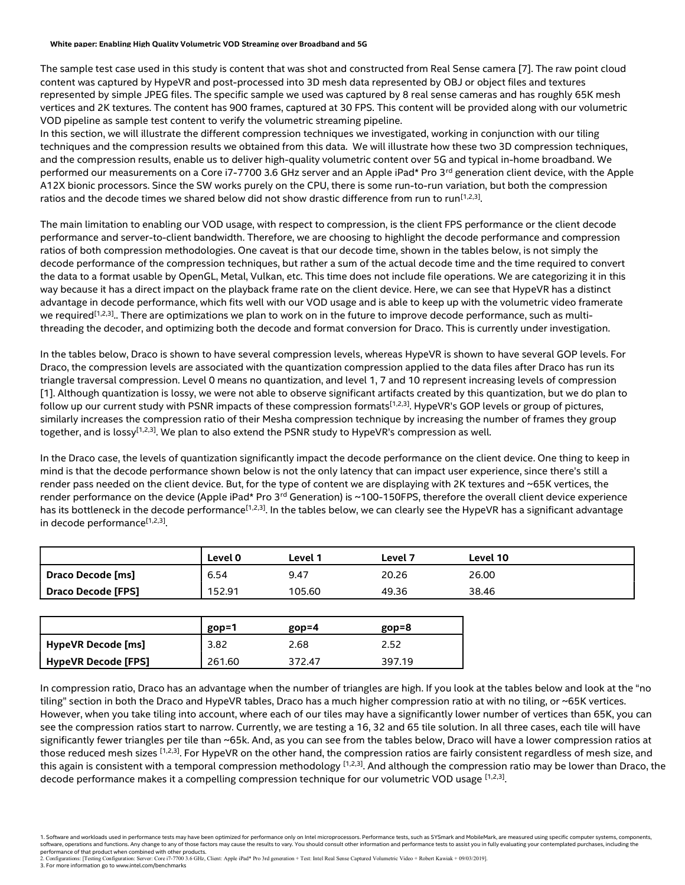#### White paper: Enabling High Quality Volumetric VOD Streaming over Broadband and 5G

The sample test case used in this study is content that was shot and constructed from Real Sense camera [7]. The raw point cloud content was captured by HypeVR and post-processed into 3D mesh data represented by OBJ or object files and textures represented by simple JPEG files. The specific sample we used was captured by 8 real sense cameras and has roughly 65K mesh vertices and 2K textures. The content has 900 frames, captured at 30 FPS. This content will be provided along with our volumetric VOD pipeline as sample test content to verify the volumetric streaming pipeline.

In this section, we will illustrate the different compression techniques we investigated, working in conjunction with our tiling techniques and the compression results we obtained from this data. We will illustrate how these two 3D compression techniques, and the compression results, enable us to deliver high-quality volumetric content over 5G and typical in-home broadband. We performed our measurements on a Core i7-7700 3.6 GHz server and an Apple iPad\* Pro 3<sup>rd</sup> generation client device, with the Apple A12X bionic processors. Since the SW works purely on the CPU, there is some run-to-run variation, but both the compression ratios and the decode times we shared below did not show drastic difference from run to run<sup>[1,2,3]</sup>.

The main limitation to enabling our VOD usage, with respect to compression, is the client FPS performance or the client decode performance and server-to-client bandwidth. Therefore, we are choosing to highlight the decode performance and compression ratios of both compression methodologies. One caveat is that our decode time, shown in the tables below, is not simply the decode performance of the compression techniques, but rather a sum of the actual decode time and the time required to convert the data to a format usable by OpenGL, Metal, Vulkan, etc. This time does not include file operations. We are categorizing it in this way because it has a direct impact on the playback frame rate on the client device. Here, we can see that HypeVR has a distinct advantage in decode performance, which fits well with our VOD usage and is able to keep up with the volumetric video framerate we required<sup>[1,2,3]</sup>.. There are optimizations we plan to work on in the future to improve decode performance, such as multithreading the decoder, and optimizing both the decode and format conversion for Draco. This is currently under investigation.

In the tables below, Draco is shown to have several compression levels, whereas HypeVR is shown to have several GOP levels. For Draco, the compression levels are associated with the quantization compression applied to the data files after Draco has run its triangle traversal compression. Level 0 means no quantization, and level 1, 7 and 10 represent increasing levels of compression [1]. Although quantization is lossy, we were not able to observe significant artifacts created by this quantization, but we do plan to follow up our current study with PSNR impacts of these compression formats<sup>[1,2,3]</sup>. HypeVR's GOP levels or group of pictures, similarly increases the compression ratio of their Mesha compression technique by increasing the number of frames they group together, and is lossy<sup>[1,2,3]</sup>. We plan to also extend the PSNR study to HypeVR's compression as well.

In the Draco case, the levels of quantization significantly impact the decode performance on the client device. One thing to keep in mind is that the decode performance shown below is not the only latency that can impact user experience, since there's still a render pass needed on the client device. But, for the type of content we are displaying with 2K textures and ~65K vertices, the render performance on the device (Apple iPad\* Pro 3<sup>rd</sup> Generation) is ~100-150FPS, therefore the overall client device experience has its bottleneck in the decode performance<sup>[1,2,3]</sup>. In the tables below, we can clearly see the HypeVR has a significant advantage in decode performance<sup>[1,2,3]</sup>.

|                    | Level 0 | Level 1 | Level 7 | Level 10 |
|--------------------|---------|---------|---------|----------|
| Draco Decode [ms]  | 6.54    | 9.47    | 20.26   | 26.00    |
| Draco Decode [FPS] | 152.91  | 105.60  | 49.36   | 38.46    |

|                            | $gop=1$ | $g$ op=4 | $gop=8$ |
|----------------------------|---------|----------|---------|
| HypeVR Decode [ms]         | 3.82    | 2.68     | 2.52    |
| <b>HypeVR Decode [FPS]</b> | 261.60  | 372.47   | 397.19  |

In compression ratio, Draco has an advantage when the number of triangles are high. If you look at the tables below and look at the "no tiling" section in both the Draco and HypeVR tables, Draco has a much higher compression ratio at with no tiling, or ~65K vertices. However, when you take tiling into account, where each of our tiles may have a significantly lower number of vertices than 65K, you can see the compression ratios start to narrow. Currently, we are testing a 16, 32 and 65 tile solution. In all three cases, each tile will have significantly fewer triangles per tile than ~65k. And, as you can see from the tables below, Draco will have a lower compression ratios at those reduced mesh sizes [1,2,3]. For HypeVR on the other hand, the compression ratios are fairly consistent regardless of mesh size, and this again is consistent with a temporal compression methodology  $[1,2,3]$ . And although the compression ratio may be lower than Draco, the decode performance makes it a compelling compression technique for our volumetric VOD usage  $^{[1,2,3]}.$ 

<sup>1.</sup> Software and workloads used in performance tests may have been optimized for performance only on Intel microprocessors. Performance tests, such as SYSmark and MobileMark, are measured using specific computer systems, co software, operations and functions. Any change to any of those factors may cause the results to vary. You should consult other information and performance tests to assist you in fully evaluating your contemplated purchases

performance of that product when combined with other products.<br>2. Configurations: [Testing Configuration: Server: Core i7-7700 3.6 GHz, Client: Apple iPad\* Pro 3rd generation + Test: Intel Real Sense Captured Volumetric Vi 3. For more information go to www.intel.com/benchmarks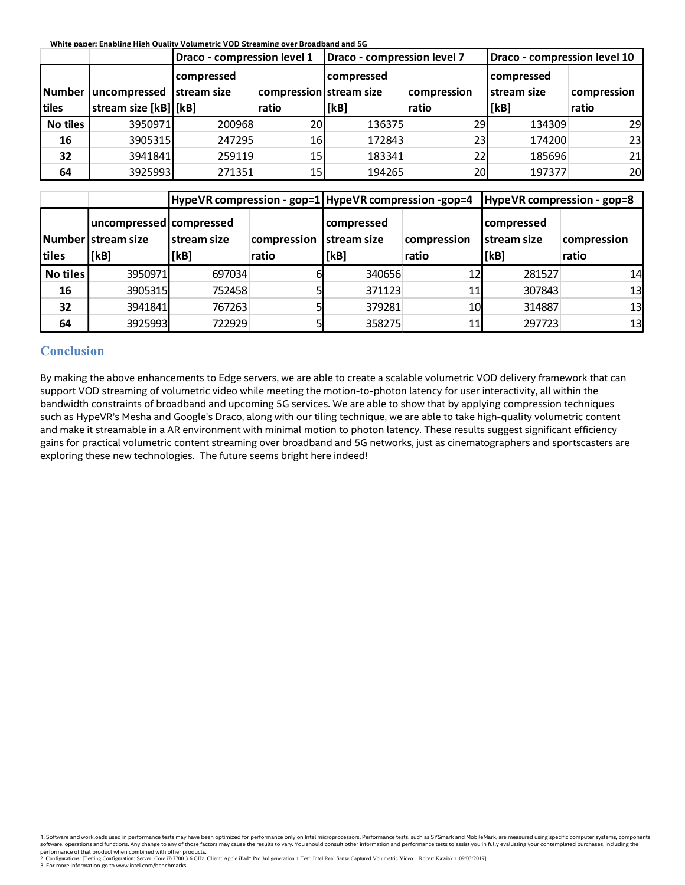| White paper: Enabling High Quality Volumetric VOD Streaming over Broadband and 5G |
|-----------------------------------------------------------------------------------|
|                                                                                   |

|          | White paper: Enabling High Quality Volumetric VOD Streaming over Broadband and 5G |                                                      |                         |                             |             |                              |             |
|----------|-----------------------------------------------------------------------------------|------------------------------------------------------|-------------------------|-----------------------------|-------------|------------------------------|-------------|
|          |                                                                                   |                                                      |                         |                             |             |                              |             |
|          |                                                                                   | Draco - compression level 1                          |                         | Draco - compression level 7 |             | Draco - compression level 10 |             |
|          |                                                                                   | compressed                                           |                         | compressed                  |             | compressed                   |             |
|          | Number uncompressed                                                               | stream size                                          | compression stream size |                             | compression | stream size                  | compression |
| tiles    | stream size [kB] [kB]                                                             |                                                      | ratio                   | [kB]                        | ratio       | [kB]                         | ratio       |
| No tiles | 3950971                                                                           | 200968                                               | 20                      | 136375                      | 29          | 134309                       | 29          |
| 16       | 3905315                                                                           | 247295                                               | 16                      | 172843                      | 23          | 174200                       | 23          |
| 32<br>64 | 3941841                                                                           | 259119                                               | 15                      | 183341                      | 22          | 185696                       | 21          |
|          | 3925993                                                                           | 271351                                               | 15                      | 194265                      | 20          | 197377                       |             |
|          |                                                                                   | HypeVR compression - gop=1 HypeVR compression -gop=4 |                         |                             |             | HypeVR compression - gop=8   | 20          |
|          | uncompressed compressed                                                           |                                                      |                         | compressed                  |             | compressed                   |             |
|          | Number stream size                                                                | stream size                                          | compression stream size |                             | compression | stream size                  | compression |
| tiles    | [kB]                                                                              | [kB]                                                 | ratio                   | [kB]                        | ratio       | [kB]                         | ratio       |

|                 | Draco - compression level 1                     |                                                                      |                         | Draco - compression level 7 |             | Draco - compression level 10                                   |             |
|-----------------|-------------------------------------------------|----------------------------------------------------------------------|-------------------------|-----------------------------|-------------|----------------------------------------------------------------|-------------|
|                 |                                                 | compressed                                                           |                         | compressed                  |             | compressed                                                     |             |
| Number          | uncompressed                                    | <b>Istream size</b>                                                  | compression stream size |                             | compression | <b>Istream size</b>                                            | compression |
| tiles           | stream size [kB] [kB]                           |                                                                      | ratio                   | [kB]                        | ratio       | [kB]                                                           | ratio       |
| <b>No tiles</b> | 3950971                                         | 200968                                                               | 20                      | 136375                      | 29          | 134309                                                         | 29          |
| 16              | 3905315                                         | 247295                                                               | 16                      | 172843                      | 23          | 174200                                                         | 23          |
| 32              | 3941841                                         | 259119                                                               | 15                      | 183341                      | 22          | 185696                                                         | 21          |
| 64              | 3925993                                         | 271351                                                               | 15                      | 194265                      | 20          | 197377                                                         | 20          |
|                 | uncompressed   compressed<br>Number stream size | HypeVR compression - gop=1 HypeVR compression -gop=4<br>Istream size | compression             | compressed<br>stream size   | compression | HypeVR compression - gop=8<br>compressed<br><b>stream size</b> | compression |
| tiles           | [kB]                                            | [kB]                                                                 | ratio                   | [kB]                        | ratio       | [kB]                                                           | ratio       |
| <b>No tiles</b> | 3950971                                         | 697034                                                               |                         | 340656                      | 12          | 281527                                                         | 14          |
|                 | 3905315                                         | 752458                                                               |                         | 371123                      | 11          | 307843                                                         | 13          |
| 16              |                                                 |                                                                      |                         | 379281                      | 10          | 314887                                                         | 13          |
| 32              | 3941841                                         | 767263                                                               |                         |                             |             |                                                                |             |

#### **Conclusion**

By making the above enhancements to Edge servers, we are able to create a scalable volumetric VOD delivery framework that can support VOD streaming of volumetric video while meeting the motion-to-photon latency for user interactivity, all within the bandwidth constraints of broadband and upcoming 5G services. We are able to show that by applying compression techniques such as HypeVR's Mesha and Google's Draco, along with our tiling technique, we are able to take high-quality volumetric content and make it streamable in a AR environment with minimal motion to photon latency. These results suggest significant efficiency gains for practical volumetric content streaming over broadband and 5G networks, just as cinematographers and sportscasters are exploring these new technologies. The future seems bright here indeed!

1. Software and workloads used in performance tests may have been optimized for performance only on Intel microprocessors. Performance tests, such as SYSmark and MobileMark, are measured using specific computer systems, co software, operations and functions. Any change to any of those factors may cause the results to vary. You should consult other information and performance tests to assist you in fully evaluating your contemplated purchases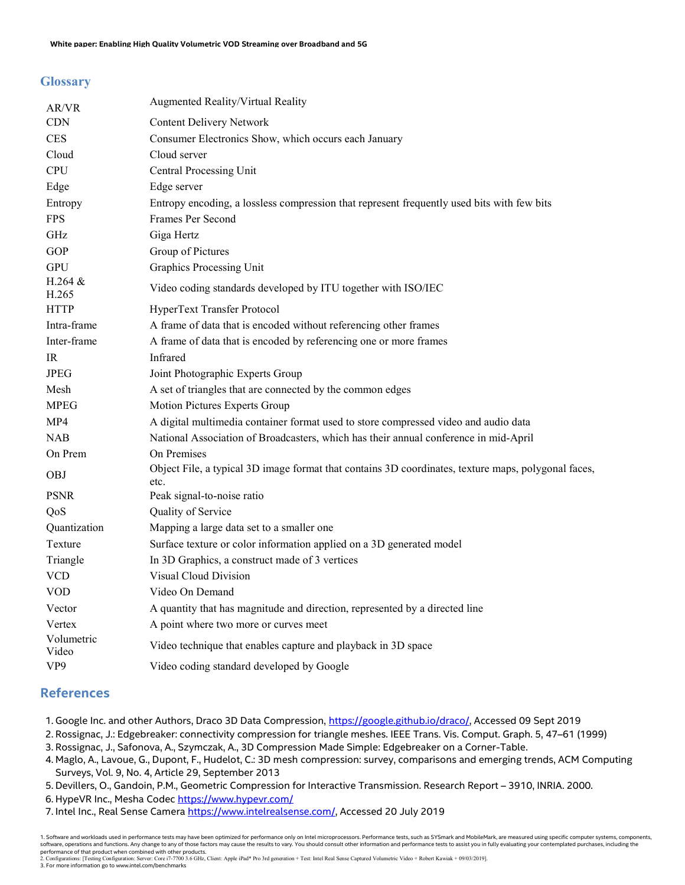#### **Glossary**

| AR/VR               | Augmented Reality/Virtual Reality                                                                           |
|---------------------|-------------------------------------------------------------------------------------------------------------|
| <b>CDN</b>          | <b>Content Delivery Network</b>                                                                             |
| <b>CES</b>          | Consumer Electronics Show, which occurs each January                                                        |
| Cloud               | Cloud server                                                                                                |
| <b>CPU</b>          | Central Processing Unit                                                                                     |
| Edge                | Edge server                                                                                                 |
| Entropy             | Entropy encoding, a lossless compression that represent frequently used bits with few bits                  |
| <b>FPS</b>          | Frames Per Second                                                                                           |
| GHz                 | Giga Hertz                                                                                                  |
| GOP                 | Group of Pictures                                                                                           |
| <b>GPU</b>          | <b>Graphics Processing Unit</b>                                                                             |
| H.264 &<br>H.265    | Video coding standards developed by ITU together with ISO/IEC                                               |
| <b>HTTP</b>         | HyperText Transfer Protocol                                                                                 |
| Intra-frame         | A frame of data that is encoded without referencing other frames                                            |
| Inter-frame         | A frame of data that is encoded by referencing one or more frames                                           |
| IR                  | Infrared                                                                                                    |
| <b>JPEG</b>         | Joint Photographic Experts Group                                                                            |
| Mesh                | A set of triangles that are connected by the common edges                                                   |
| <b>MPEG</b>         | Motion Pictures Experts Group                                                                               |
| MP4                 | A digital multimedia container format used to store compressed video and audio data                         |
| NAB                 | National Association of Broadcasters, which has their annual conference in mid-April                        |
| On Prem             | On Premises                                                                                                 |
| <b>OBJ</b>          | Object File, a typical 3D image format that contains 3D coordinates, texture maps, polygonal faces,<br>etc. |
| <b>PSNR</b>         | Peak signal-to-noise ratio                                                                                  |
| QoS                 | Quality of Service                                                                                          |
| Quantization        | Mapping a large data set to a smaller one                                                                   |
| Texture             | Surface texture or color information applied on a 3D generated model                                        |
| Triangle            | In 3D Graphics, a construct made of 3 vertices                                                              |
| <b>VCD</b>          | <b>Visual Cloud Division</b>                                                                                |
| <b>VOD</b>          | Video On Demand                                                                                             |
| Vector              | A quantity that has magnitude and direction, represented by a directed line                                 |
| Vertex              | A point where two more or curves meet                                                                       |
| Volumetric<br>Video | Video technique that enables capture and playback in 3D space                                               |
| VP <sub>9</sub>     | Video coding standard developed by Google                                                                   |

#### References

- 1. Google Inc. and other Authors, Draco 3D Data Compression, https://google.github.io/draco/, Accessed 09 Sept 2019
- 2. Rossignac, J.: Edgebreaker: connectivity compression for triangle meshes. IEEE Trans. Vis. Comput. Graph. 5, 47–61 (1999)
- 3. Rossignac, J., Safonova, A., Szymczak, A., 3D Compression Made Simple: Edgebreaker on a Corner-Table.
- 4. Maglo, A., Lavoue, G., Dupont, F., Hudelot, C.: 3D mesh compression: survey, comparisons and emerging trends, ACM Computing Surveys, Vol. 9, No. 4, Article 29, September 2013
- 5. Devillers, O., Gandoin, P.M., Geometric Compression for Interactive Transmission. Research Report 3910, INRIA. 2000.
- 6. HypeVR Inc., Mesha Codec https://www.hypevr.com/
- 7. Intel Inc., Real Sense Camera https://www.intelrealsense.com/, Accessed 20 July 2019

1. Software and workloads used in performance tests may have been optimized for performance only on Intel microprocessors. Performance tests, such as SYSmark and MobileMark, are measured using specific computer systems, co software, operations and functions. Any change to any of those factors may cause the results to vary. You should consult other information and performance tests to assist you in fully evaluating your contemplated purchases